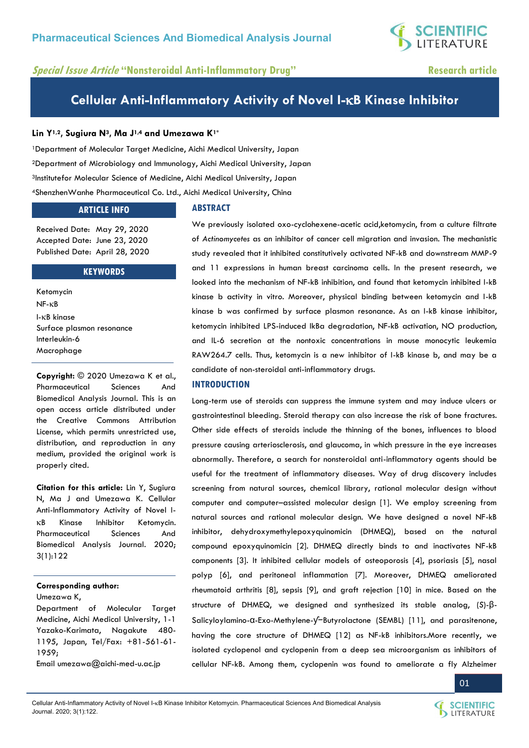**SCIENTIFIC**<br>LITERATURE

# **Special Issue Article "Nonsteroidal Anti-Inflammatory Drug" Research article**

# **Cellular Anti-Inflammatory Activity of Novel I-B Kinase Inhibitor**

# **Lin Y1,2, Sugiura N3, Ma J1,4 and Umezawa K1\***

Department of Molecular Target Medicine, Aichi Medical University, Japan Department of Microbiology and Immunology, Aichi Medical University, Japan Institutefor Molecular Science of Medicine, Aichi Medical University, Japan ShenzhenWanhe Pharmaceutical Co. Ltd., Aichi Medical University, China

# **ARTICLE INFO**

# **ABSTRACT**

Received Date: May 29, 2020 Accepted Date: June 23, 2020 Published Date: April 28, 2020

**KEYWORDS** 

Ketomycin  $NF - KB$ I-KB kinase Surface plasmon resonance Interleukin-6 Macrophage

**Copyright:** © 2020 Umezawa K et al., Pharmaceutical Sciences And Biomedical Analysis Journal. This is an open access article distributed under the Creative Commons Attribution License, which permits unrestricted use, distribution, and reproduction in any medium, provided the original work is properly cited.

**Citation for this article:** Lin Y, Sugiura N, Ma J and Umezawa K. Cellular Anti-Inflammatory Activity of Novel I- B Kinase Inhibitor Ketomycin. Pharmaceutical Sciences And Biomedical Analysis Journal. 2020; 3(1):122

# **Corresponding author:**

Umezawa K,

Department of Molecular Target Medicine, Aichi Medical University, 1-1 Yazako-Karimata, Nagakute 480- 1195, Japan, Tel/Fax: +81-561-61- 1959;

Email [umezawa@aichi-med-u.ac.jp](mailto:umezawa@aichi-med-u.ac.jp) 

We previously isolated oxo-cyclohexene-acetic acid,ketomycin, from a culture filtrate of *Actinomycetes* as an inhibitor of cancer cell migration and invasion. The mechanistic study revealed that it inhibited constitutively activated NF-kB and downstream MMP-9 and 11 expressions in human breast carcinoma cells. In the present research, we looked into the mechanism of NF-kB inhibition, and found that ketomycin inhibited I-kB kinase b activity in vitro. Moreover, physical binding between ketomycin and I-kB kinase b was confirmed by surface plasmon resonance. As an I-kB kinase inhibitor, ketomycin inhibited LPS-induced IkBa degradation, NF-kB activation, NO production, and IL-6 secretion at the nontoxic concentrations in mouse monocytic leukemia RAW264.7 cells. Thus, ketomycin is a new inhibitor of I-kB kinase b, and may be a candidate of non-steroidal anti-inflammatory drugs.

# **INTRODUCTION**

Long-term use of steroids can suppress the immune system and may induce ulcers or gastrointestinal bleeding. Steroid therapy can also increase the risk of bone fractures. Other side effects of steroids include the thinning of the bones, influences to blood pressure causing arteriosclerosis, and glaucoma, in which pressure in the eye increases abnormally. Therefore, a search for nonsteroidal anti-inflammatory agents should be useful for the treatment of inflammatory diseases. Way of drug discovery includes screening from natural sources, chemical library, rational molecular design without computer and computer–assisted molecular design [1]. We employ screening from natural sources and rational molecular design. We have designed a novel NF-kB inhibitor, dehydroxymethylepoxyquinomicin (DHMEQ), based on the natural compound epoxyquinomicin [2]. DHMEQ directly binds to and inactivates NF-kB components [3]. It inhibited cellular models of osteoporosis [4], psoriasis [5], nasal polyp [6], and peritoneal inflammation [7]. Moreover, DHMEQ ameliorated rheumatoid arthritis [8], sepsis [9], and graft rejection [10] in mice. Based on the structure of DHMEQ, we designed and synthesized its stable analog, (*S*)-β-Salicyloylamino-α-Exo-Methylene-ƴ−Butyrolactone (SEMBL) [11], and parasitenone, having the core structure of DHMEQ [12] as NF-kB inhibitors.More recently, we isolated cyclopenol and cyclopenin from a deep sea microorganism as inhibitors of cellular NF-kB. Among them, cyclopenin was found to ameliorate a fly Alzheimer



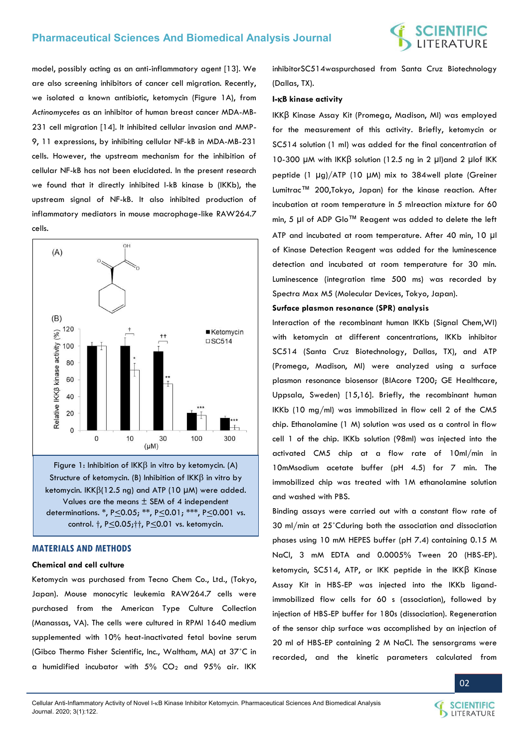

model, possibly acting as an anti-inflammatory agent [13]. We are also screening inhibitors of cancer cell migration. Recently, we isolated a known antibiotic, ketomycin (Figure 1A), from *Actinomycetes* as an inhibitor of human breast cancer MDA-MB-231 cell migration [14]. It inhibited cellular invasion and MMP-9, 11 expressions, by inhibiting cellular NF-kB in MDA-MB-231 cells. However, the upstream mechanism for the inhibition of cellular NF-kB has not been elucidated. In the present research we found that it directly inhibited I-kB kinase b (IKKb), the upstream signal of NF-kB. It also inhibited production of inflammatory mediators in mouse macrophage-like RAW264.7 cells.



Figure 1: Inhibition of  $IKK\beta$  in vitro by ketomycin. (A) Structure of ketomycin. (B) Inhibition of  $IKK\beta$  in vitro by ketomycin.  $IKK\beta(12.5 \text{ ng})$  and ATP (10 µM) were added. Values are the means ± SEM of 4 independent determinations. \*, P<0.05; \*\*, P<0.01; \*\*\*, P<0.001 vs. control. †, P<0.05;††, P<0.01 vs. ketomycin.

# **MATERIALS AND METHODS**

# **Chemical and cell culture**

Ketomycin was purchased from Tecno Chem Co., Ltd., (Tokyo, Japan). Mouse monocytic leukemia RAW264.7 cells were purchased from the American Type Culture Collection (Manassas, VA). The cells were cultured in RPMI 1640 medium supplemented with 10% heat-inactivated fetal bovine serum (Gibco Thermo Fisher Scientific, Inc., Waltham, MA) at 37˚C in a humidified incubator with  $5\%$  CO<sub>2</sub> and  $95\%$  air. IKK inhibitorSC514waspurchased from Santa Cruz Biotechnology (Dallas, TX).

### **I-B kinase activity**

IKKβ Kinase Assay Kit (Promega, Madison, MI) was employed for the measurement of this activity. Briefly, ketomycin or SC514 solution (1 ml) was added for the final concentration of 10-300 μM with IKKβ solution (12.5 ng in 2 μl)and 2 μlof IKK peptide (1 μg)/ATP (10 μM) mix to 384well plate (Greiner Lumitrac™ 200,Tokyo, Japan) for the kinase reaction. After incubation at room temperature in 5 mlreaction mixture for 60 min, 5 μl of ADP Glo™ Reagent was added to delete the left ATP and incubated at room temperature. After 40 min, 10 μl of Kinase Detection Reagent was added for the luminescence detection and incubated at room temperature for 30 min. Luminescence (integration time 500 ms) was recorded by Spectra Max M5 (Molecular Devices, Tokyo, Japan).

### **Surface plasmon resonance (SPR) analysis**

Interaction of the recombinant human IKKb (Signal Chem,WI) with ketomycin at different concentrations, IKKb inhibitor SC514 (Santa Cruz Biotechnology, Dallas, TX), and ATP (Promega, Madison, MI) were analyzed using a surface plasmon resonance biosensor (BIAcore T200; GE Healthcare, Uppsala, Sweden) [15,16]. Briefly, the recombinant human IKKb (10 mg/ml) was immobilized in flow cell 2 of the CM5 chip. Ethanolamine (1 M) solution was used as a control in flow cell 1 of the chip. IKKb solution (98ml) was injected into the activated CM5 chip at a flow rate of 10ml/min in 10mMsodium acetate buffer (pH 4.5) for 7 min. The immobilized chip was treated with 1M ethanolamine solution and washed with PBS.

Binding assays were carried out with a constant flow rate of 30 ml/min at 25˚Cduring both the association and dissociation phases using 10 mM HEPES buffer (pH 7.4) containing 0.15 M NaCl, 3 mM EDTA and 0.0005% Tween 20 (HBS-EP). ketomycin, SC514, ATP, or IKK peptide in the IKKβ Kinase Assay Kit in HBS-EP was injected into the IKKb ligandimmobilized flow cells for 60 s (association), followed by injection of HBS-EP buffer for 180s (dissociation). Regeneration of the sensor chip surface was accomplished by an injection of 20 ml of HBS-EP containing 2 M NaCl. The sensorgrams were recorded, and the kinetic parameters calculated from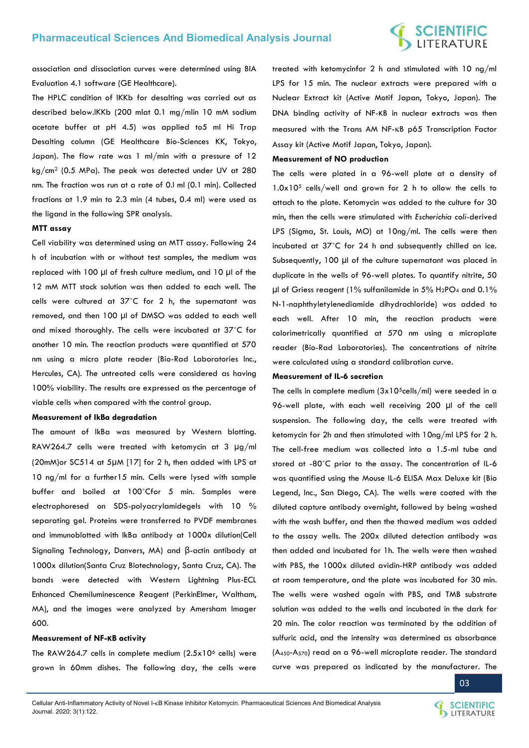# **SCIENTIFIC**<br>LITERATURE

association and dissociation curves were determined using BIA Evaluation 4.1 software (GE Healthcare).

The HPLC condition of IKKb for desalting was carried out as described below.IKKb (200 mlat 0.1 mg/mlin 10 mM sodium acetate buffer at pH 4.5) was applied to5 ml Hi Trap Desalting column (GE Healthcare Bio-Sciences KK, Tokyo, Japan). The flow rate was 1 ml/min with a pressure of 12 kg/cm2 (0.5 MPa). The peak was detected under UV at 280 nm. The fraction was run at a rate of 0.l ml (0.1 min). Collected fractions at 1.9 min to 2.3 min (4 tubes, 0.4 ml) were used as the ligand in the following SPR analysis.

## **MTT assay**

Cell viability was determined using an MTT assay. Following 24 h of incubation with or without test samples, the medium was replaced with 100 µl of fresh culture medium, and 10 µl of the 12 mM MTT stock solution was then added to each well. The cells were cultured at 37˚C for 2 h, the supernatant was removed, and then 100 µl of DMSO was added to each well and mixed thoroughly. The cells were incubated at 37˚C for another 10 min. The reaction products were quantified at 570 nm using a micro plate reader (Bio-Rad Laboratories Inc., Hercules, CA). The untreated cells were considered as having 100% viability. The results are expressed as the percentage of viable cells when compared with the control group.

### **Measurement of IkBa degradation**

The amount of IkBa was measured by Western blotting. RAW264.7 cells were treated with ketomycin at 3 μg/ml (20mM)or SC514 at 5μM [17] for 2 h, then added with LPS at 10 ng/ml for a further15 min. Cells were lysed with sample buffer and boiled at 100˚Cfor 5 min. Samples were electrophoresed on SDS-polyacrylamidegels with 10 % separating gel. Proteins were transferred to PVDF membranes and immunoblotted with IkBa antibody at 1000x dilution(Cell Signaling Technology, Danvers, MA) and β-actin antibody at 1000x dilution(Santa Cruz Biotechnology, Santa Cruz, CA). The bands were detected with Western Lightning Plus-ECL Enhanced Chemiluminescence Reagent (PerkinElmer, Waltham, MA), and the images were analyzed by Amersham Imager 600.

## **Measurement of NF-κB activity**

The RAW264.7 cells in complete medium  $(2.5x10<sup>6</sup>$  cells) were grown in 60mm dishes. The following day, the cells were

treated with ketomycinfor 2 h and stimulated with 10 ng/ml LPS for 15 min. The nuclear extracts were prepared with a Nuclear Extract kit (Active Motif Japan, Tokyo, Japan). The DNA binding activity of NF-κB in nuclear extracts was then measured with the Trans AM NF-KB p65 Transcription Factor Assay kit (Active Motif Japan, Tokyo, Japan).

## **Measurement of NO production**

The cells were plated in a 96-well plate at a density of 1.0x105 cells/well and grown for 2 h to allow the cells to attach to the plate. Ketomycin was added to the culture for 30 min, then the cells were stimulated with *Escherichia coli-*derived LPS (Sigma, St. Louis, MO) at 10ng/ml. The cells were then incubated at 37˚C for 24 h and subsequently chilled on ice. Subsequently, 100 µl of the culture supernatant was placed in duplicate in the wells of 96-well plates. To quantify nitrite, 50 µl of Griess reagent (1% sulfanilamide in 5% H<sub>2</sub>PO<sub>4</sub> and 0.1% N-1-naphthyletylenediamide dihydrochloride) was added to each well. After 10 min, the reaction products were colorimetrically quantified at 570 nm using a microplate reader (Bio-Rad Laboratories). The concentrations of nitrite were calculated using a standard calibration curve.

# **Measurement of IL-6 secretion**

The cells in complete medium  $(3x10^5$ cells/ml) were seeded in a 96-well plate, with each well receiving 200 µl of the cell suspension. The following day, the cells were treated with ketomycin for 2h and then stimulated with 10ng/ml LPS for 2 h. The cell-free medium was collected into a 1.5-ml tube and stored at -80˚C prior to the assay. The concentration of IL-6 was quantified using the Mouse IL-6 ELISA Max Deluxe kit (Bio Legend, Inc., San Diego, CA). The wells were coated with the diluted capture antibody overnight, followed by being washed with the wash buffer, and then the thawed medium was added to the assay wells. The 200x diluted detection antibody was then added and incubated for 1h. The wells were then washed with PBS, the 1000x diluted avidin-HRP antibody was added at room temperature, and the plate was incubated for 30 min. The wells were washed again with PBS, and TMB substrate solution was added to the wells and incubated in the dark for 20 min. The color reaction was terminated by the addition of sulfuric acid, and the intensity was determined as absorbance (A450-A570) read on a 96-well microplate reader. The standard curve was prepared as indicated by the manufacturer. The

03

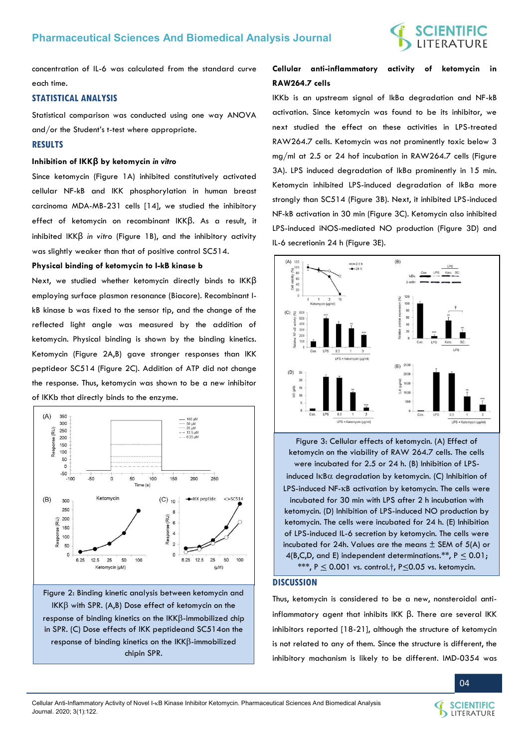concentration of IL-6 was calculated from the standard curve each time.

# **STATISTICAL ANALYSIS**

Statistical comparison was conducted using one way ANOVA and/or the Student's t-test where appropriate.

# **RESULTS**

# **Inhibition of IKKβ by ketomycin** *in vitro*

Since ketomycin (Figure 1A) inhibited constitutively activated cellular NF-kB and IKK phosphorylation in human breast carcinoma MDA-MB-231 cells [14], we studied the inhibitory effect of ketomycin on recombinant IKKβ. As a result, it inhibited IKKβ *in vitro* (Figure 1B), and the inhibitory activity was slightly weaker than that of positive control SC514.

# **Physical binding of ketomycin to I-kB kinase b**

Next, we studied whether ketomycin directly binds to IKKβ employing surface plasmon resonance (Biacore). Recombinant IkB kinase b was fixed to the sensor tip, and the change of the reflected light angle was measured by the addition of ketomycin. Physical binding is shown by the binding kinetics. Ketomycin (Figure 2A,B) gave stronger responses than IKK peptideor SC514 (Figure 2C). Addition of ATP did not change the response. Thus, ketomycin was shown to be a new inhibitor of IKKb that directly binds to the enzyme.



Figure 2: Binding kinetic analysis between ketomycin and  $IKK\beta$  with SPR. (A,B) Dose effect of ketomycin on the response of binding kinetics on the  $IKK\beta$ -immobilized chip in SPR. (C) Dose effects of IKK peptideand SC514on the response of binding kinetics on the  $IKK\beta$ -immobilized chipin SPR.

# **Cellular anti-inflammatory activity of ketomycin in RAW264.7 cells**

IKKb is an upstream signal of IkBa degradation and NF-kB activation. Since ketomycin was found to be its inhibitor, we next studied the effect on these activities in LPS-treated RAW264.7 cells. Ketomycin was not prominently toxic below 3 mg/ml at 2.5 or 24 hof incubation in RAW264.7 cells (Figure 3A). LPS induced degradation of IkBa prominently in 15 min. Ketomycin inhibited LPS-induced degradation of IkBa more strongly than SC514 (Figure 3B). Next, it inhibited LPS-induced NF-kB activation in 30 min (Figure 3C). Ketomycin also inhibited LPS-induced iNOS-mediated NO production (Figure 3D) and IL-6 secretionin 24 h (Figure 3E).



Figure 3: Cellular effects of ketomycin. (A) Effect of ketomycin on the viability of RAW 264.7 cells. The cells were incubated for 2.5 or 24 h. (B) Inhibition of LPSinduced  $I\kappa B\alpha$  degradation by ketomycin. (C) Inhibition of LPS-induced NF-KB activation by ketomycin. The cells were incubated for 30 min with LPS after 2 h incubation with ketomycin. (D) Inhibition of LPS-induced NO production by ketomycin. The cells were incubated for 24 h. (E) Inhibition of LPS-induced IL-6 secretion by ketomycin. The cells were incubated for 24h. Values are the means  $\pm$  SEM of 5(A) or 4(B,C,D, and E) independent determinations.\*\*,  $P \le 0.01$ ; \*\*\*,  $P \le 0.001$  vs. control.†, P $\le 0.05$  vs. ketomycin.

# **DISCUSSION**

Thus, ketomycin is considered to be a new, nonsteroidal antiinflammatory agent that inhibits IKK β. There are several IKK inhibitors reported [18-21], although the structure of ketomycin is not related to any of them. Since the structure is different, the inhibitory machanism is likely to be different. IMD-0354 was



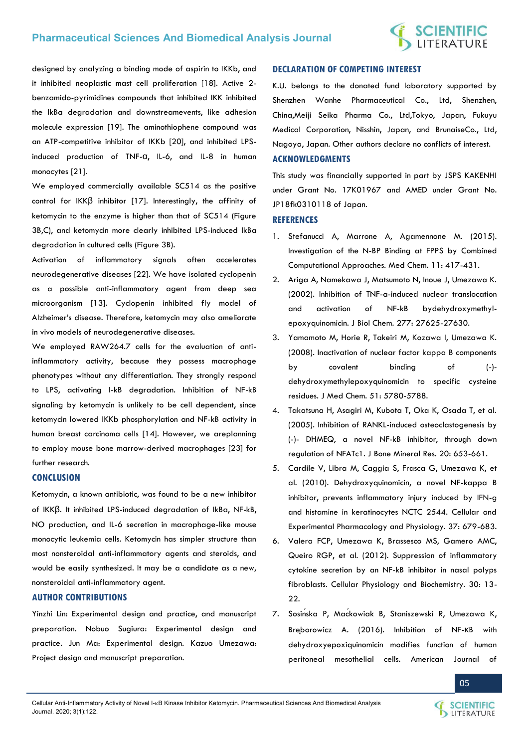# **Pharmaceutical Sciences And Biomedical Analysis Journal**

# **SCIENTIFIC**<br>LITERATURE

designed by analyzing a binding mode of aspirin to IKKb, and it inhibited neoplastic mast cell proliferation [18]. Active 2 benzamido-pyrimidines compounds that inhibited IKK inhibited the IkBa degradation and downstreamevents, like adhesion molecule expression [19]. The aminothiophene compound was an ATP-competitive inhibitor of IKKb [20], and inhibited LPSinduced production of TNF-α, IL-6, and IL-8 in human monocytes [21].

We employed commercially available SC514 as the positive control for IKKβ inhibitor [17]. Interestingly, the affinity of ketomycin to the enzyme is higher than that of SC514 (Figure 3B,C), and ketomycin more clearly inhibited LPS-induced IkBa degradation in cultured cells (Figure 3B).

Activation of inflammatory signals often accelerates neurodegenerative diseases [22]. We have isolated cyclopenin as a possible anti-inflammatory agent from deep sea microorganism [13]. Cyclopenin inhibited fly model of Alzheimer's disease. Therefore, ketomycin may also ameliorate in vivo models of neurodegenerative diseases.

We employed RAW264.7 cells for the evaluation of antiinflammatory activity, because they possess macrophage phenotypes without any differentiation. They strongly respond to LPS, activating I-kB degradation. Inhibition of NF-kB signaling by ketomycin is unlikely to be cell dependent, since ketomycin lowered IKKb phosphorylation and NF-kB activity in human breast carcinoma cells [14]. However, we areplanning to employ mouse bone marrow-derived macrophages [23] for further research.

# **CONCLUSION**

Ketomycin, a known antibiotic, was found to be a new inhibitor of IKKβ. It inhibited LPS-induced degradation of IkBa, NF-kB, NO production, and IL-6 secretion in macrophage-like mouse monocytic leukemia cells. Ketomycin has simpler structure than most nonsteroidal anti-inflammatory agents and steroids, and would be easily synthesized. It may be a candidate as a new, nonsteroidal anti-inflammatory agent.

# **AUTHOR CONTRIBUTIONS**

Yinzhi Lin: Experimental design and practice, and manuscript preparation. Nobuo Sugiura: Experimental design and practice. Jun Ma: Experimental design. Kazuo Umezawa: Project design and manuscript preparation.

# **DECLARATION OF COMPETING INTEREST**

K.U. belongs to the donated fund laboratory supported by Shenzhen Wanhe Pharmaceutical Co., Ltd, Shenzhen, China,Meiji Seika Pharma Co., Ltd,Tokyo, Japan, Fukuyu Medical Corporation, Nisshin, Japan, and BrunaiseCo., Ltd, Nagoya, Japan. Other authors declare no conflicts of interest.

# **ACKNOWLEDGMENTS**

This study was financially supported in part by JSPS KAKENHI under Grant No. 17K01967 and AMED under Grant No. JP18fk0310118 of Japan.

# **REFERENCES**

- 1. [Stefanucci A, Marrone A, Agamennone M. \(2015\).](https://doi.org/10.2174/1573406410666141226132630)  [Investigation of the N-BP Binding at FPPS by Combined](https://doi.org/10.2174/1573406410666141226132630)  [Computational Approaches. Med Chem. 11: 417-431.](https://doi.org/10.2174/1573406410666141226132630)
- 2. [Ariga A, Namekawa J, Matsumoto N, Inoue J, Umezawa K.](https://www.jbc.org/content/277/27/24625)  [\(2002\). Inhibition of TNF-a-induced nuclear translocation](https://www.jbc.org/content/277/27/24625)  [and activation of NF-kB bydehydroxymethyl](https://www.jbc.org/content/277/27/24625)[epoxyquinomicin. J Biol Chem. 277: 27625-27630.](https://www.jbc.org/content/277/27/24625)
- 3. [Yamamoto M, Horie R, Takeiri M, Kozawa I, Umezawa K.](https://doi.org/10.1021/jm8006245)  [\(2008\). Inactivation of nuclear factor kappa B components](https://doi.org/10.1021/jm8006245)  [by covalent binding of \(-\)](https://doi.org/10.1021/jm8006245)  [dehydroxymethylepoxyquinomicin to specific cysteine](https://doi.org/10.1021/jm8006245)  [residues. J Med Chem. 51: 5780-5788.](https://doi.org/10.1021/jm8006245)
- 4. [Takatsuna H, Asagiri M, Kubota T, Oka K, Osada T, et al.](https://doi.org/10.1359/jbmr.041213)  [\(2005\). Inhibition of RANKL-induced osteoclastogenesis by](https://doi.org/10.1359/jbmr.041213)  [\(-\)- DHMEQ, a novel NF-kB inhibitor, through down](https://doi.org/10.1359/jbmr.041213)  [regulation of NFATc1. J Bone Mineral Res. 20: 653-661.](https://doi.org/10.1359/jbmr.041213)
- 5. [Cardile V, Libra M, Caggia S, Frasca G, Umezawa K, et](https://doi.org/10.1111/j.1440-1681.2010.05375.x)  [al. \(2010\). Dehydroxyquinomicin, a novel NF-kappa B](https://doi.org/10.1111/j.1440-1681.2010.05375.x)  [inhibitor, prevents inflammatory injury induced by IFN-g](https://doi.org/10.1111/j.1440-1681.2010.05375.x)  [and histamine in keratinocytes NCTC 2544. Cellular and](https://doi.org/10.1111/j.1440-1681.2010.05375.x)  [Experimental Pharmacology and Physiology. 37: 679-683.](https://doi.org/10.1111/j.1440-1681.2010.05375.x)
- 6. [Valera FCP, Umezawa K, Brassesco MS, Gamero AMC,](https://doi.org/10.1159/000339042)  [Queiro RGP, et al. \(2012\). Suppression of inflammatory](https://doi.org/10.1159/000339042)  [cytokine secretion by an NF-kB inhibitor in nasal polyps](https://doi.org/10.1159/000339042)  [fibroblasts. Cellular Physiology and Biochemistry. 30: 13-](https://doi.org/10.1159/000339042) [22.](https://doi.org/10.1159/000339042)
- 7. Sosińska P, Mać[kowiak B, Staniszewski R, Umezawa K,](https://pubmed.ncbi.nlm.nih.gov/28078047/)  Brę[borowicz A. \(2016\). Inhibition of NF-](https://pubmed.ncbi.nlm.nih.gov/28078047/)κB with [dehydroxyepoxiquinomicin modifies function of human](https://pubmed.ncbi.nlm.nih.gov/28078047/)  [peritoneal mesothelial cells. American Journal of](https://pubmed.ncbi.nlm.nih.gov/28078047/)